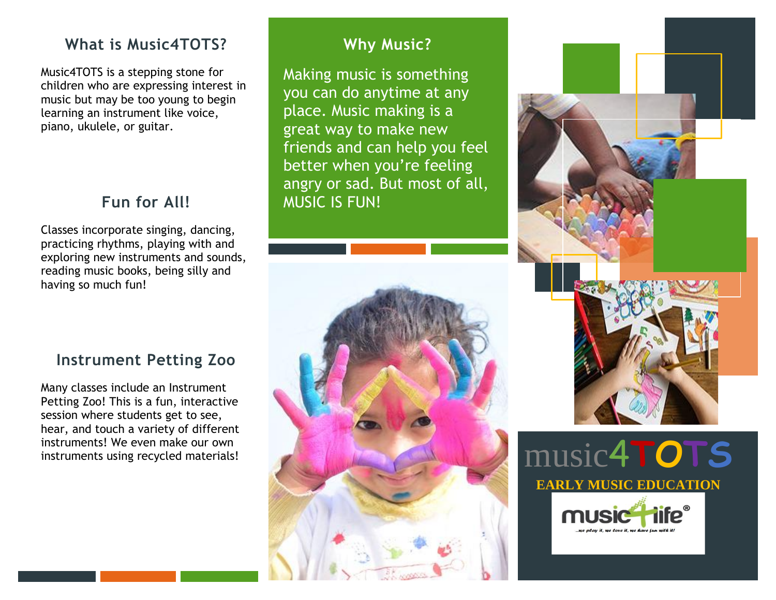## **What is Music4TOTS?**

Music4TOTS is a stepping stone for children who are expressing interest in music but may be too young to begin learning an instrument like voice, piano, ukulele, or guitar.

# **Fun for All!**

Classes incorporate singing, dancing, practicing rhythms, playing with and exploring new instruments and sounds, reading music books, being silly and having so much fun!

**Instrument Petting Zoo**

Many classes include an Instrument Petting Zoo! This is a fun, interactive session where students get to see, hear, and touch a variety of different instruments! We even make our own instruments using recycled materials!

# **Why Music?**

Making music is something you can do anytime at any place. Music making is a great way to make new friends and can help you feel better when you're feeling angry or sad. But most of all, MUSIC IS FUN!